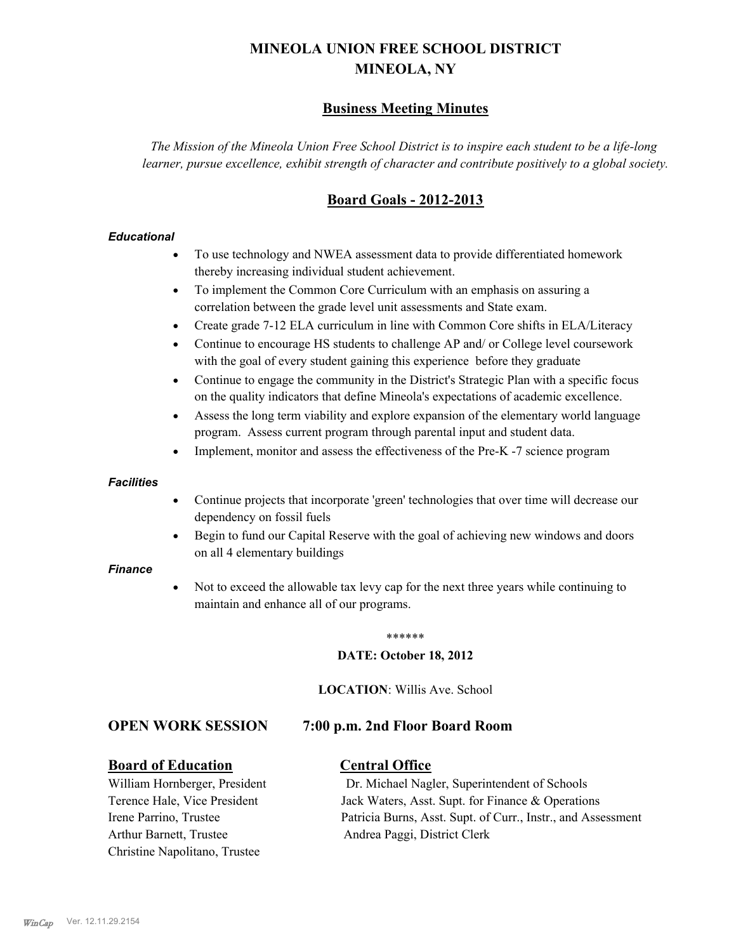# **MINEOLA UNION FREE SCHOOL DISTRICT MINEOLA, NY**

## **Business Meeting Minutes**

*The Mission of the Mineola Union Free School District is to inspire each student to be a life-long learner, pursue excellence, exhibit strength of character and contribute positively to a global society.*

## **Board Goals - 2012-2013**

#### *Educational*

- · To use technology and NWEA assessment data to provide differentiated homework thereby increasing individual student achievement.
- · To implement the Common Core Curriculum with an emphasis on assuring a correlation between the grade level unit assessments and State exam.
- Create grade 7-12 ELA curriculum in line with Common Core shifts in ELA/Literacy
- Continue to encourage HS students to challenge AP and/ or College level coursework with the goal of every student gaining this experience before they graduate
- · Continue to engage the community in the District's Strategic Plan with a specific focus on the quality indicators that define Mineola's expectations of academic excellence.
- Assess the long term viability and explore expansion of the elementary world language program. Assess current program through parental input and student data.
- Implement, monitor and assess the effectiveness of the Pre-K -7 science program

#### *Facilities*

- · Continue projects that incorporate 'green' technologies that over time will decrease our dependency on fossil fuels
- Begin to fund our Capital Reserve with the goal of achieving new windows and doors on all 4 elementary buildings

#### *Finance*

Not to exceed the allowable tax levy cap for the next three years while continuing to maintain and enhance all of our programs.

#### \*\*\*\*\*\*

#### **DATE: October 18, 2012**

**LOCATION**: Willis Ave. School

### **OPEN WORK SESSION 7:00 p.m. 2nd Floor Board Room**

#### **Board of Education Central Office**

Arthur Barnett, Trustee Andrea Paggi, District Clerk Christine Napolitano, Trustee

William Hornberger, President Dr. Michael Nagler, Superintendent of Schools Terence Hale, Vice President Jack Waters, Asst. Supt. for Finance & Operations Irene Parrino, Trustee Patricia Burns, Asst. Supt. of Curr., Instr., and Assessment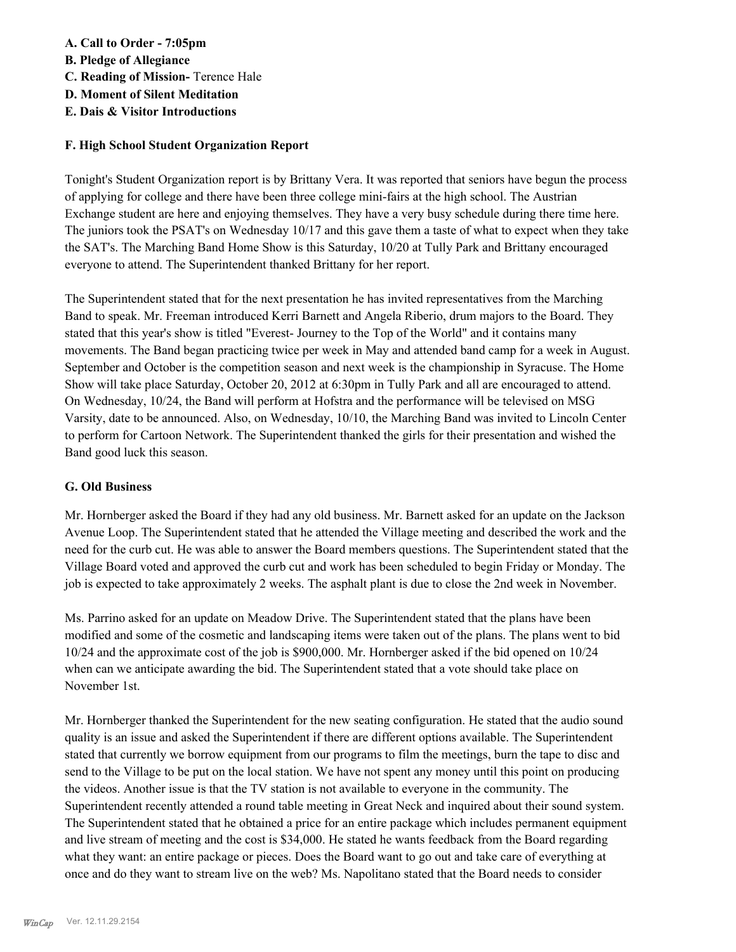## **A. Call to Order - 7:05pm**

- **B. Pledge of Allegiance**
- **C. Reading of Mission-** Terence Hale
- **D. Moment of Silent Meditation**
- **E. Dais & Visitor Introductions**

## **F. High School Student Organization Report**

Tonight's Student Organization report is by Brittany Vera. It was reported that seniors have begun the process of applying for college and there have been three college mini-fairs at the high school. The Austrian Exchange student are here and enjoying themselves. They have a very busy schedule during there time here. The juniors took the PSAT's on Wednesday 10/17 and this gave them a taste of what to expect when they take the SAT's. The Marching Band Home Show is this Saturday, 10/20 at Tully Park and Brittany encouraged everyone to attend. The Superintendent thanked Brittany for her report.

The Superintendent stated that for the next presentation he has invited representatives from the Marching Band to speak. Mr. Freeman introduced Kerri Barnett and Angela Riberio, drum majors to the Board. They stated that this year's show is titled "Everest- Journey to the Top of the World" and it contains many movements. The Band began practicing twice per week in May and attended band camp for a week in August. September and October is the competition season and next week is the championship in Syracuse. The Home Show will take place Saturday, October 20, 2012 at 6:30pm in Tully Park and all are encouraged to attend. On Wednesday, 10/24, the Band will perform at Hofstra and the performance will be televised on MSG Varsity, date to be announced. Also, on Wednesday, 10/10, the Marching Band was invited to Lincoln Center to perform for Cartoon Network. The Superintendent thanked the girls for their presentation and wished the Band good luck this season.

### **G. Old Business**

Mr. Hornberger asked the Board if they had any old business. Mr. Barnett asked for an update on the Jackson Avenue Loop. The Superintendent stated that he attended the Village meeting and described the work and the need for the curb cut. He was able to answer the Board members questions. The Superintendent stated that the Village Board voted and approved the curb cut and work has been scheduled to begin Friday or Monday. The job is expected to take approximately 2 weeks. The asphalt plant is due to close the 2nd week in November.

Ms. Parrino asked for an update on Meadow Drive. The Superintendent stated that the plans have been modified and some of the cosmetic and landscaping items were taken out of the plans. The plans went to bid 10/24 and the approximate cost of the job is \$900,000. Mr. Hornberger asked if the bid opened on 10/24 when can we anticipate awarding the bid. The Superintendent stated that a vote should take place on November 1st.

Mr. Hornberger thanked the Superintendent for the new seating configuration. He stated that the audio sound quality is an issue and asked the Superintendent if there are different options available. The Superintendent stated that currently we borrow equipment from our programs to film the meetings, burn the tape to disc and send to the Village to be put on the local station. We have not spent any money until this point on producing the videos. Another issue is that the TV station is not available to everyone in the community. The Superintendent recently attended a round table meeting in Great Neck and inquired about their sound system. The Superintendent stated that he obtained a price for an entire package which includes permanent equipment and live stream of meeting and the cost is \$34,000. He stated he wants feedback from the Board regarding what they want: an entire package or pieces. Does the Board want to go out and take care of everything at once and do they want to stream live on the web? Ms. Napolitano stated that the Board needs to consider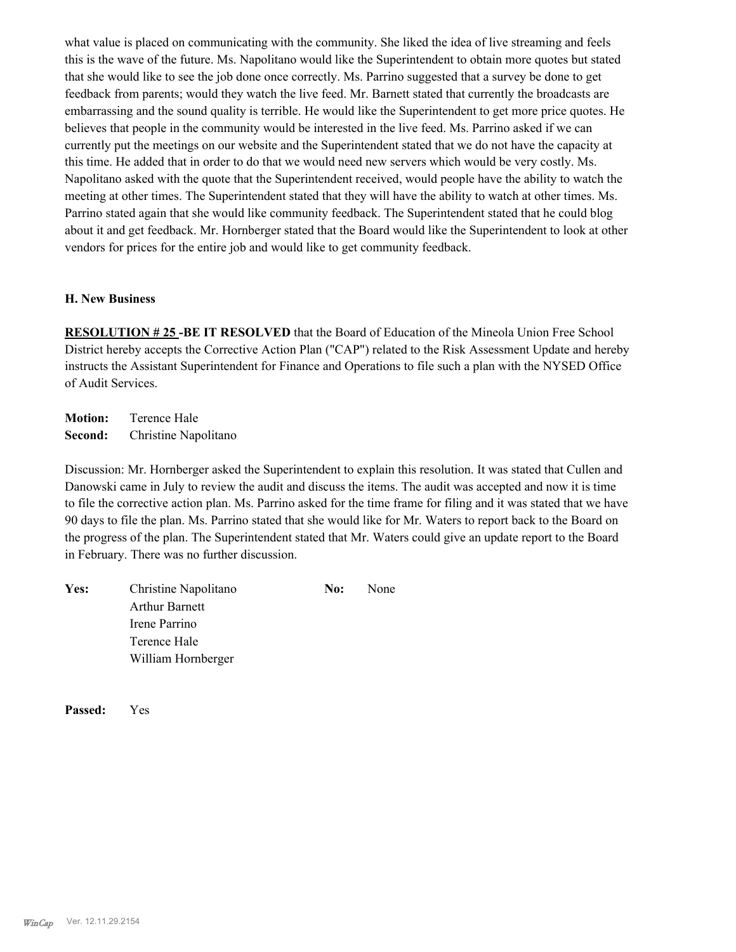what value is placed on communicating with the community. She liked the idea of live streaming and feels this is the wave of the future. Ms. Napolitano would like the Superintendent to obtain more quotes but stated that she would like to see the job done once correctly. Ms. Parrino suggested that a survey be done to get feedback from parents; would they watch the live feed. Mr. Barnett stated that currently the broadcasts are embarrassing and the sound quality is terrible. He would like the Superintendent to get more price quotes. He believes that people in the community would be interested in the live feed. Ms. Parrino asked if we can currently put the meetings on our website and the Superintendent stated that we do not have the capacity at this time. He added that in order to do that we would need new servers which would be very costly. Ms. Napolitano asked with the quote that the Superintendent received, would people have the ability to watch the meeting at other times. The Superintendent stated that they will have the ability to watch at other times. Ms. Parrino stated again that she would like community feedback. The Superintendent stated that he could blog about it and get feedback. Mr. Hornberger stated that the Board would like the Superintendent to look at other vendors for prices for the entire job and would like to get community feedback.

#### **H. New Business**

**RESOLUTION # 25 -BE IT RESOLVED** that the Board of Education of the Mineola Union Free School District hereby accepts the Corrective Action Plan ("CAP") related to the Risk Assessment Update and hereby instructs the Assistant Superintendent for Finance and Operations to file such a plan with the NYSED Office of Audit Services.

**Motion:** Terence Hale **Second:** Christine Napolitano

Discussion: Mr. Hornberger asked the Superintendent to explain this resolution. It was stated that Cullen and Danowski came in July to review the audit and discuss the items. The audit was accepted and now it is time to file the corrective action plan. Ms. Parrino asked for the time frame for filing and it was stated that we have 90 days to file the plan. Ms. Parrino stated that she would like for Mr. Waters to report back to the Board on the progress of the plan. The Superintendent stated that Mr. Waters could give an update report to the Board in February. There was no further discussion.

| Yes: | Christine Napolitano  | No: | None |
|------|-----------------------|-----|------|
|      | <b>Arthur Barnett</b> |     |      |
|      | Irene Parrino         |     |      |
|      | Terence Hale          |     |      |
|      | William Hornberger    |     |      |

**Passed:** Yes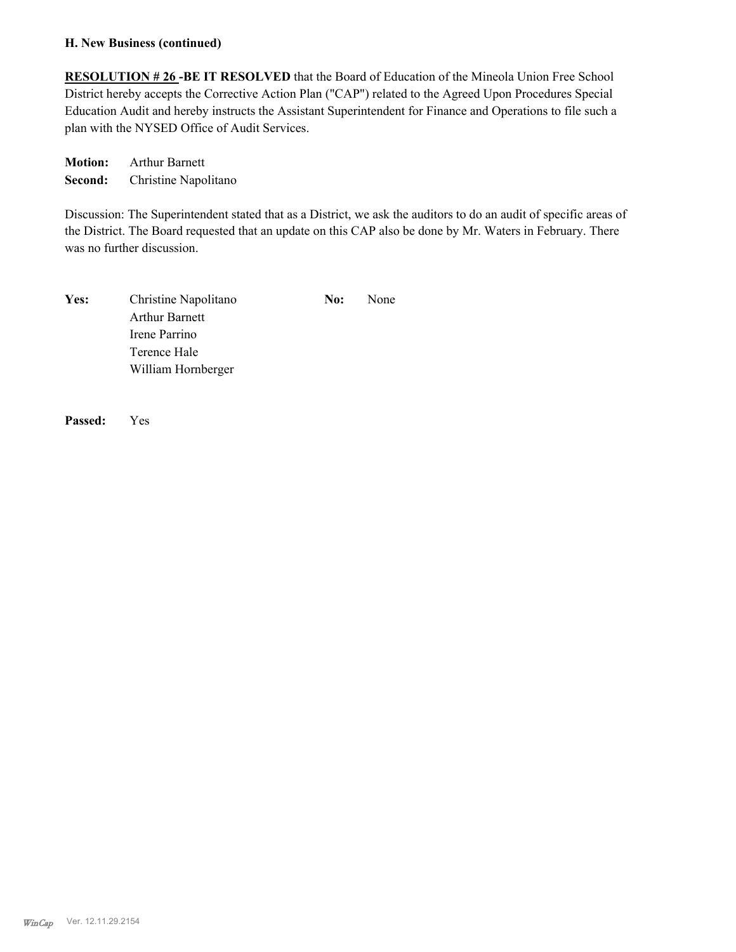#### **H. New Business (continued)**

**RESOLUTION # 26 -BE IT RESOLVED** that the Board of Education of the Mineola Union Free School District hereby accepts the Corrective Action Plan ("CAP") related to the Agreed Upon Procedures Special Education Audit and hereby instructs the Assistant Superintendent for Finance and Operations to file such a plan with the NYSED Office of Audit Services.

**Motion:** Arthur Barnett **Second:** Christine Napolitano

Discussion: The Superintendent stated that as a District, we ask the auditors to do an audit of specific areas of the District. The Board requested that an update on this CAP also be done by Mr. Waters in February. There was no further discussion.

| Yes: | Christine Napolitano  | No: | None |
|------|-----------------------|-----|------|
|      | <b>Arthur Barnett</b> |     |      |
|      | Irene Parrino         |     |      |
|      | Terence Hale          |     |      |
|      | William Hornberger    |     |      |

**Passed:** Yes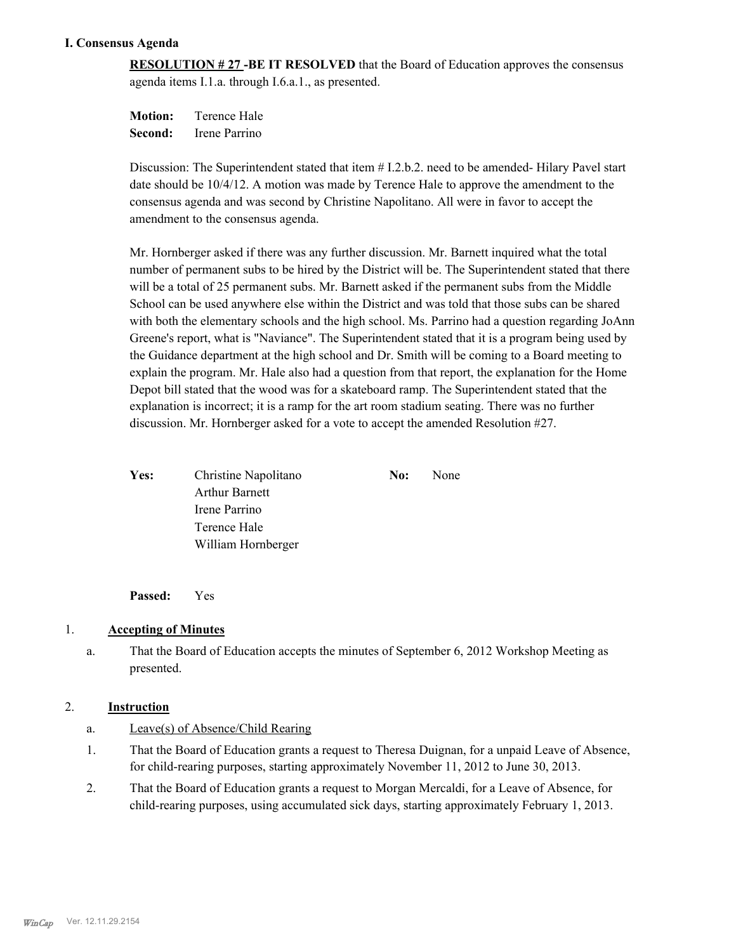#### **I. Consensus Agenda**

**RESOLUTION # 27 -BE IT RESOLVED** that the Board of Education approves the consensus agenda items I.1.a. through I.6.a.1., as presented.

**Motion:** Terence Hale **Second:** Irene Parrino

Discussion: The Superintendent stated that item # I.2.b.2. need to be amended- Hilary Pavel start date should be 10/4/12. A motion was made by Terence Hale to approve the amendment to the consensus agenda and was second by Christine Napolitano. All were in favor to accept the amendment to the consensus agenda.

Mr. Hornberger asked if there was any further discussion. Mr. Barnett inquired what the total number of permanent subs to be hired by the District will be. The Superintendent stated that there will be a total of 25 permanent subs. Mr. Barnett asked if the permanent subs from the Middle School can be used anywhere else within the District and was told that those subs can be shared with both the elementary schools and the high school. Ms. Parrino had a question regarding JoAnn Greene's report, what is "Naviance". The Superintendent stated that it is a program being used by the Guidance department at the high school and Dr. Smith will be coming to a Board meeting to explain the program. Mr. Hale also had a question from that report, the explanation for the Home Depot bill stated that the wood was for a skateboard ramp. The Superintendent stated that the explanation is incorrect; it is a ramp for the art room stadium seating. There was no further discussion. Mr. Hornberger asked for a vote to accept the amended Resolution #27.

| <b>Yes:</b> | Christine Napolitano  | No: | None |
|-------------|-----------------------|-----|------|
|             | <b>Arthur Barnett</b> |     |      |
|             | Irene Parrino         |     |      |
|             | Terence Hale          |     |      |
|             | William Hornberger    |     |      |

**Passed:** Yes

### 1. **Accepting of Minutes**

That the Board of Education accepts the minutes of September 6, 2012 Workshop Meeting as presented. a.

### 2. **Instruction**

- a. Leave(s) of Absence/Child Rearing
- That the Board of Education grants a request to Theresa Duignan, for a unpaid Leave of Absence, for child-rearing purposes, starting approximately November 11, 2012 to June 30, 2013. 1.
- That the Board of Education grants a request to Morgan Mercaldi, for a Leave of Absence, for child-rearing purposes, using accumulated sick days, starting approximately February 1, 2013. 2.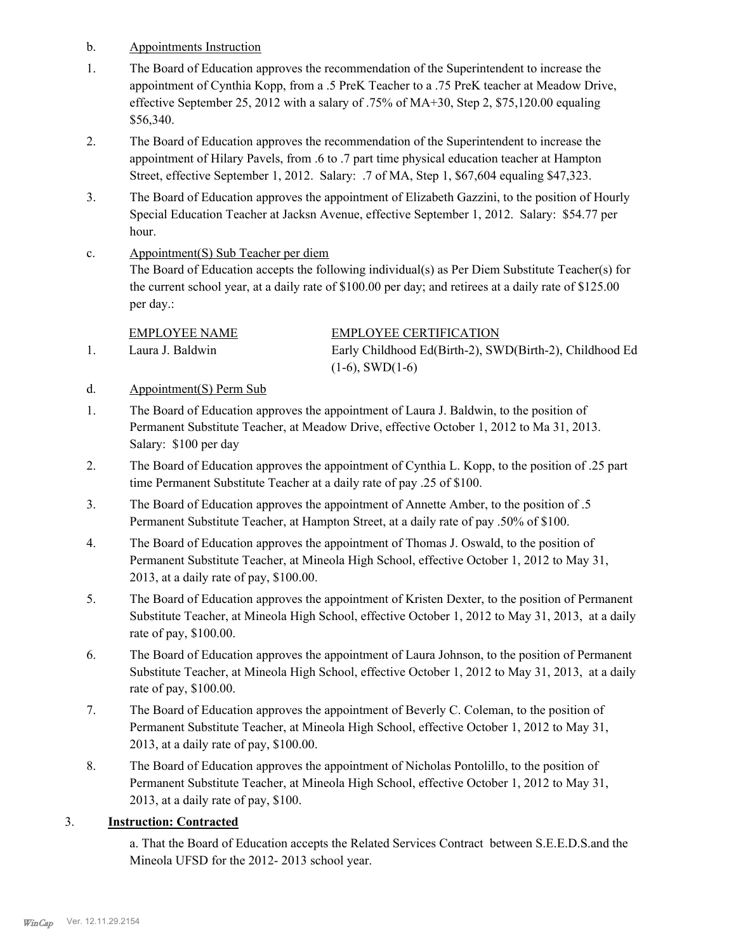- b. Appointments Instruction
- The Board of Education approves the recommendation of the Superintendent to increase the appointment of Cynthia Kopp, from a .5 PreK Teacher to a .75 PreK teacher at Meadow Drive, effective September 25, 2012 with a salary of .75% of MA+30, Step 2, \$75,120.00 equaling \$56,340. 1.
- The Board of Education approves the recommendation of the Superintendent to increase the appointment of Hilary Pavels, from .6 to .7 part time physical education teacher at Hampton Street, effective September 1, 2012. Salary: .7 of MA, Step 1, \$67,604 equaling \$47,323. 2.
- The Board of Education approves the appointment of Elizabeth Gazzini, to the position of Hourly Special Education Teacher at Jacksn Avenue, effective September 1, 2012. Salary: \$54.77 per hour. 3.
- Appointment(S) Sub Teacher per diem The Board of Education accepts the following individual(s) as Per Diem Substitute Teacher(s) for the current school year, at a daily rate of \$100.00 per day; and retirees at a daily rate of \$125.00 per day.: c.

EMPLOYEE NAME EMPLOYEE CERTIFICATION

- Laura J. Baldwin Early Childhood Ed(Birth-2), SWD(Birth-2), Childhood Ed  $(1-6)$ , SWD $(1-6)$ 1.
- d. Appointment(S) Perm Sub
- The Board of Education approves the appointment of Laura J. Baldwin, to the position of Permanent Substitute Teacher, at Meadow Drive, effective October 1, 2012 to Ma 31, 2013. Salary: \$100 per day 1.
- The Board of Education approves the appointment of Cynthia L. Kopp, to the position of .25 part time Permanent Substitute Teacher at a daily rate of pay .25 of \$100. 2.
- The Board of Education approves the appointment of Annette Amber, to the position of .5 Permanent Substitute Teacher, at Hampton Street, at a daily rate of pay .50% of \$100. 3.
- The Board of Education approves the appointment of Thomas J. Oswald, to the position of Permanent Substitute Teacher, at Mineola High School, effective October 1, 2012 to May 31, 2013, at a daily rate of pay, \$100.00. 4.
- The Board of Education approves the appointment of Kristen Dexter, to the position of Permanent Substitute Teacher, at Mineola High School, effective October 1, 2012 to May 31, 2013, at a daily rate of pay, \$100.00. 5.
- The Board of Education approves the appointment of Laura Johnson, to the position of Permanent Substitute Teacher, at Mineola High School, effective October 1, 2012 to May 31, 2013, at a daily rate of pay, \$100.00. 6.
- The Board of Education approves the appointment of Beverly C. Coleman, to the position of Permanent Substitute Teacher, at Mineola High School, effective October 1, 2012 to May 31, 2013, at a daily rate of pay, \$100.00. 7.
- The Board of Education approves the appointment of Nicholas Pontolillo, to the position of Permanent Substitute Teacher, at Mineola High School, effective October 1, 2012 to May 31, 2013, at a daily rate of pay, \$100. 8.

## 3. **Instruction: Contracted**

a. That the Board of Education accepts the Related Services Contract between S.E.E.D.S.and the Mineola UFSD for the 2012- 2013 school year.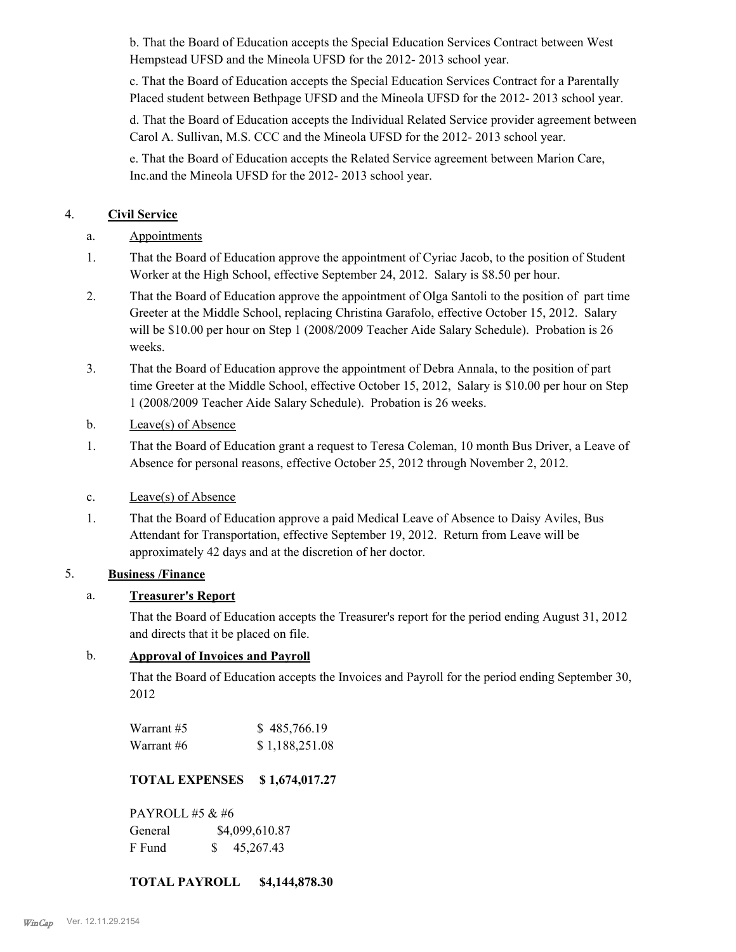b. That the Board of Education accepts the Special Education Services Contract between West Hempstead UFSD and the Mineola UFSD for the 2012- 2013 school year.

c. That the Board of Education accepts the Special Education Services Contract for a Parentally Placed student between Bethpage UFSD and the Mineola UFSD for the 2012- 2013 school year.

d. That the Board of Education accepts the Individual Related Service provider agreement between Carol A. Sullivan, M.S. CCC and the Mineola UFSD for the 2012- 2013 school year.

e. That the Board of Education accepts the Related Service agreement between Marion Care, Inc.and the Mineola UFSD for the 2012- 2013 school year.

## 4. **Civil Service**

- a. Appointments
- That the Board of Education approve the appointment of Cyriac Jacob, to the position of Student Worker at the High School, effective September 24, 2012. Salary is \$8.50 per hour. 1.
- That the Board of Education approve the appointment of Olga Santoli to the position of part time Greeter at the Middle School, replacing Christina Garafolo, effective October 15, 2012. Salary will be \$10.00 per hour on Step 1 (2008/2009 Teacher Aide Salary Schedule). Probation is 26 weeks. 2.
- That the Board of Education approve the appointment of Debra Annala, to the position of part time Greeter at the Middle School, effective October 15, 2012, Salary is \$10.00 per hour on Step 1 (2008/2009 Teacher Aide Salary Schedule). Probation is 26 weeks. 3.
- b. Leave(s) of Absence
- That the Board of Education grant a request to Teresa Coleman, 10 month Bus Driver, a Leave of Absence for personal reasons, effective October 25, 2012 through November 2, 2012. 1.
- c. Leave(s) of Absence
- That the Board of Education approve a paid Medical Leave of Absence to Daisy Aviles, Bus Attendant for Transportation, effective September 19, 2012. Return from Leave will be approximately 42 days and at the discretion of her doctor. 1.

## 5. **Business /Finance**

## a. **Treasurer's Report**

That the Board of Education accepts the Treasurer's report for the period ending August 31, 2012 and directs that it be placed on file.

## b. **Approval of Invoices and Payroll**

That the Board of Education accepts the Invoices and Payroll for the period ending September 30, 2012

| Warrant #5 | \$485,766.19   |
|------------|----------------|
| Warrant #6 | \$1,188,251.08 |

## **TOTAL EXPENSES \$ 1,674,017.27**

PAYROLL #5 & #6 General  $$4,099,610.87$ F Fund \$ 45,267.43

## **TOTAL PAYROLL \$4,144,878.30**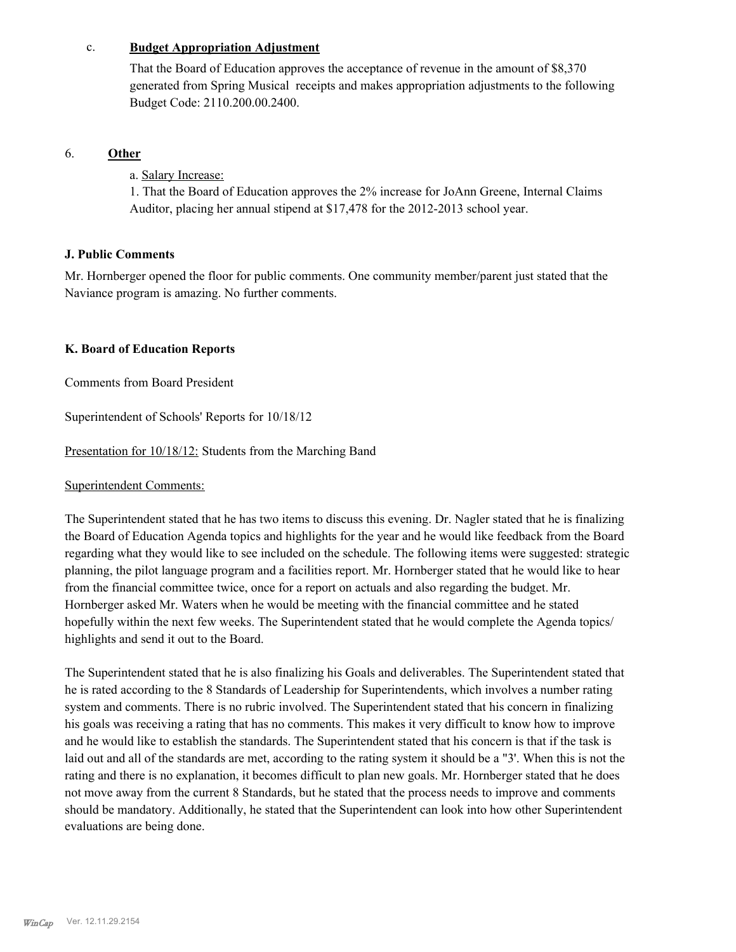#### c. **Budget Appropriation Adjustment**

That the Board of Education approves the acceptance of revenue in the amount of \$8,370 generated from Spring Musical receipts and makes appropriation adjustments to the following Budget Code: 2110.200.00.2400.

#### 6. **Other**

a. Salary Increase:

1. That the Board of Education approves the 2% increase for JoAnn Greene, Internal Claims Auditor, placing her annual stipend at \$17,478 for the 2012-2013 school year.

### **J. Public Comments**

Mr. Hornberger opened the floor for public comments. One community member/parent just stated that the Naviance program is amazing. No further comments.

### **K. Board of Education Reports**

Comments from Board President

Superintendent of Schools' Reports for 10/18/12

Presentation for 10/18/12: Students from the Marching Band

Superintendent Comments:

The Superintendent stated that he has two items to discuss this evening. Dr. Nagler stated that he is finalizing the Board of Education Agenda topics and highlights for the year and he would like feedback from the Board regarding what they would like to see included on the schedule. The following items were suggested: strategic planning, the pilot language program and a facilities report. Mr. Hornberger stated that he would like to hear from the financial committee twice, once for a report on actuals and also regarding the budget. Mr. Hornberger asked Mr. Waters when he would be meeting with the financial committee and he stated hopefully within the next few weeks. The Superintendent stated that he would complete the Agenda topics/ highlights and send it out to the Board.

The Superintendent stated that he is also finalizing his Goals and deliverables. The Superintendent stated that he is rated according to the 8 Standards of Leadership for Superintendents, which involves a number rating system and comments. There is no rubric involved. The Superintendent stated that his concern in finalizing his goals was receiving a rating that has no comments. This makes it very difficult to know how to improve and he would like to establish the standards. The Superintendent stated that his concern is that if the task is laid out and all of the standards are met, according to the rating system it should be a "3'. When this is not the rating and there is no explanation, it becomes difficult to plan new goals. Mr. Hornberger stated that he does not move away from the current 8 Standards, but he stated that the process needs to improve and comments should be mandatory. Additionally, he stated that the Superintendent can look into how other Superintendent evaluations are being done.